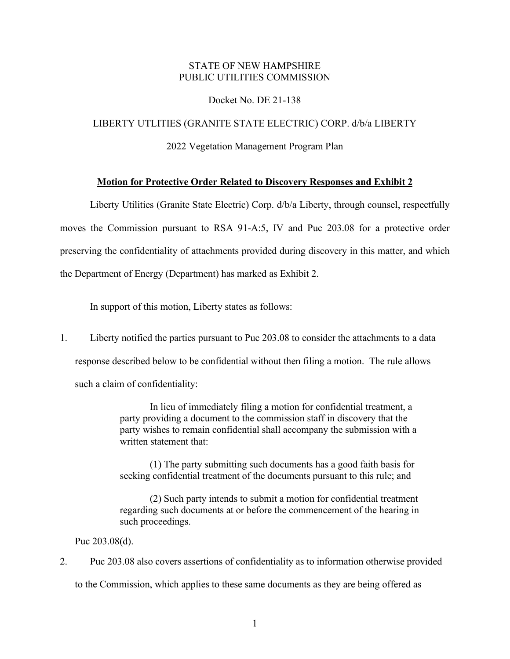## STATE OF NEW HAMPSHIRE PUBLIC UTILITIES COMMISSION

#### Docket No. DE 21-138

### LIBERTY UTLITIES (GRANITE STATE ELECTRIC) CORP. d/b/a LIBERTY

2022 Vegetation Management Program Plan

#### **Motion for Protective Order Related to Discovery Responses and Exhibit 2**

Liberty Utilities (Granite State Electric) Corp. d/b/a Liberty, through counsel, respectfully moves the Commission pursuant to RSA 91-A:5, IV and Puc 203.08 for a protective order preserving the confidentiality of attachments provided during discovery in this matter, and which the Department of Energy (Department) has marked as Exhibit 2.

In support of this motion, Liberty states as follows:

1. Liberty notified the parties pursuant to Puc 203.08 to consider the attachments to a data response described below to be confidential without then filing a motion. The rule allows such a claim of confidentiality:

> In lieu of immediately filing a motion for confidential treatment, a party providing a document to the commission staff in discovery that the party wishes to remain confidential shall accompany the submission with a written statement that:

> (1) The party submitting such documents has a good faith basis for seeking confidential treatment of the documents pursuant to this rule; and

(2) Such party intends to submit a motion for confidential treatment regarding such documents at or before the commencement of the hearing in such proceedings.

Puc 203.08(d).

2. Puc 203.08 also covers assertions of confidentiality as to information otherwise provided to the Commission, which applies to these same documents as they are being offered as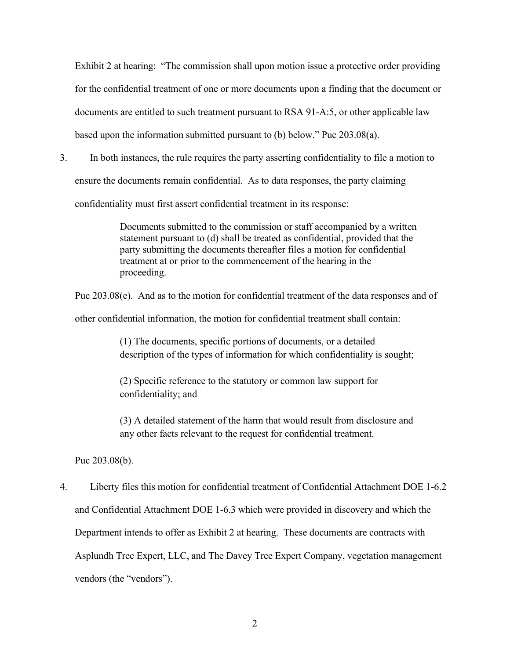Exhibit 2 at hearing: "The commission shall upon motion issue a protective order providing for the confidential treatment of one or more documents upon a finding that the document or documents are entitled to such treatment pursuant to RSA 91-A:5, or other applicable law based upon the information submitted pursuant to (b) below." Puc 203.08(a).

3. In both instances, the rule requires the party asserting confidentiality to file a motion to ensure the documents remain confidential. As to data responses, the party claiming confidentiality must first assert confidential treatment in its response:

> Documents submitted to the commission or staff accompanied by a written statement pursuant to (d) shall be treated as confidential, provided that the party submitting the documents thereafter files a motion for confidential treatment at or prior to the commencement of the hearing in the proceeding.

Puc 203.08(e). And as to the motion for confidential treatment of the data responses and of

other confidential information, the motion for confidential treatment shall contain:

(1) The documents, specific portions of documents, or a detailed description of the types of information for which confidentiality is sought;

(2) Specific reference to the statutory or common law support for confidentiality; and

(3) A detailed statement of the harm that would result from disclosure and any other facts relevant to the request for confidential treatment.

Puc 203.08(b).

4. Liberty files this motion for confidential treatment of Confidential Attachment DOE 1-6.2 and Confidential Attachment DOE 1-6.3 which were provided in discovery and which the Department intends to offer as Exhibit 2 at hearing. These documents are contracts with Asplundh Tree Expert, LLC, and The Davey Tree Expert Company, vegetation management vendors (the "vendors").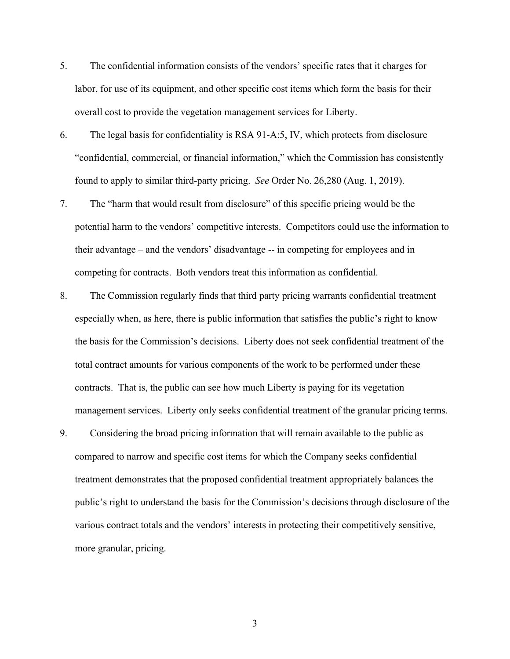- 5. The confidential information consists of the vendors' specific rates that it charges for labor, for use of its equipment, and other specific cost items which form the basis for their overall cost to provide the vegetation management services for Liberty.
- 6. The legal basis for confidentiality is RSA 91-A:5, IV, which protects from disclosure "confidential, commercial, or financial information," which the Commission has consistently found to apply to similar third-party pricing. *See* Order No. 26,280 (Aug. 1, 2019).
- 7. The "harm that would result from disclosure" of this specific pricing would be the potential harm to the vendors' competitive interests. Competitors could use the information to their advantage – and the vendors' disadvantage -- in competing for employees and in competing for contracts. Both vendors treat this information as confidential.
- 8. The Commission regularly finds that third party pricing warrants confidential treatment especially when, as here, there is public information that satisfies the public's right to know the basis for the Commission's decisions. Liberty does not seek confidential treatment of the total contract amounts for various components of the work to be performed under these contracts. That is, the public can see how much Liberty is paying for its vegetation management services. Liberty only seeks confidential treatment of the granular pricing terms.
- 9. Considering the broad pricing information that will remain available to the public as compared to narrow and specific cost items for which the Company seeks confidential treatment demonstrates that the proposed confidential treatment appropriately balances the public's right to understand the basis for the Commission's decisions through disclosure of the various contract totals and the vendors' interests in protecting their competitively sensitive, more granular, pricing.

3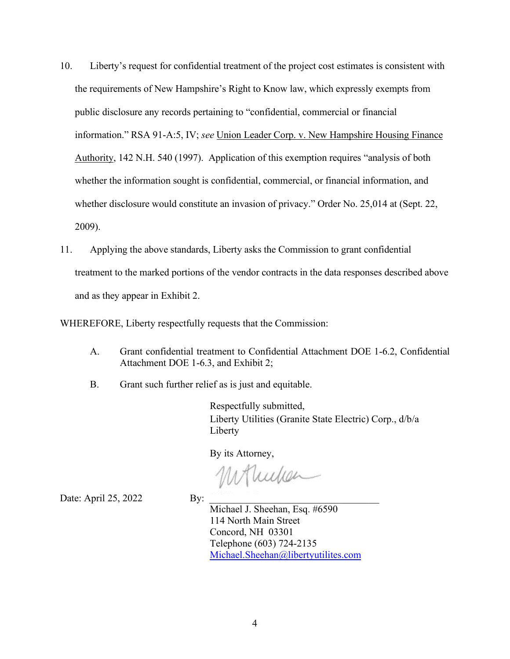- 10. Liberty's request for confidential treatment of the project cost estimates is consistent with the requirements of New Hampshire's Right to Know law, which expressly exempts from public disclosure any records pertaining to "confidential, commercial or financial information." RSA 91-A:5, IV; *see* Union Leader Corp. v. New Hampshire Housing Finance Authority, 142 N.H. 540 (1997). Application of this exemption requires "analysis of both whether the information sought is confidential, commercial, or financial information, and whether disclosure would constitute an invasion of privacy." Order No. 25,014 at (Sept. 22, 2009).
- 11. Applying the above standards, Liberty asks the Commission to grant confidential treatment to the marked portions of the vendor contracts in the data responses described above and as they appear in Exhibit 2.

WHEREFORE, Liberty respectfully requests that the Commission:

- A. Grant confidential treatment to Confidential Attachment DOE 1-6.2, Confidential Attachment DOE 1-6.3, and Exhibit 2;
- B. Grant such further relief as is just and equitable.

Respectfully submitted, Liberty Utilities (Granite State Electric) Corp., d/b/a Liberty

By its Attorney,

Mondian

Date: April 25, 2022 By:

Michael J. Sheehan, Esq. #6590 114 North Main Street Concord, NH 03301 Telephone (603) 724-2135 [Michael.Sheehan@libertyutilites.com](mailto:Michael.Sheehan@libertyutilites.com)